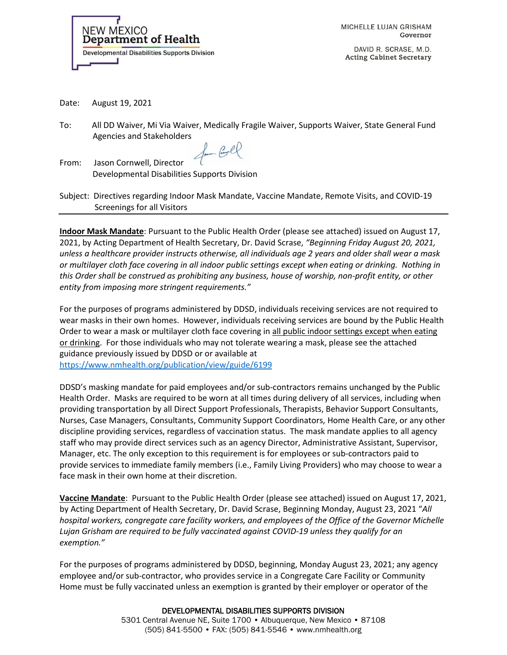

MICHELLE LUJAN GRISHAM Governor

DAVID R. SCRASE, M.D. **Acting Cabinet Secretary** 

Date: August 19, 2021

To: All DD Waiver, Mi Via Waiver, Medically Fragile Waiver, Supports Waiver, State General Fund Agencies and Stakeholders

Som Coll

From: Jason Cornwell, Director Developmental Disabilities Supports Division

Subject: Directives regarding Indoor Mask Mandate, Vaccine Mandate, Remote Visits, and COVID-19 Screenings for all Visitors

**Indoor Mask Mandate**: Pursuant to the Public Health Order (please see attached) issued on August 17, 2021, by Acting Department of Health Secretary, Dr. David Scrase, *"Beginning Friday August 20, 2021, unless a healthcare provider instructs otherwise, all individuals age 2 years and older shall wear a mask or multilayer cloth face covering in all indoor public settings except when eating or drinking. Nothing in this Order shall be construed as prohibiting any business, house of worship, non-profit entity, or other entity from imposing more stringent requirements."* 

For the purposes of programs administered by DDSD, individuals receiving services are not required to wear masks in their own homes. However, individuals receiving services are bound by the Public Health Order to wear a mask or multilayer cloth face covering in all public indoor settings except when eating or drinking. For those individuals who may not tolerate wearing a mask, please see the attached guidance previously issued by DDSD or or available at <https://www.nmhealth.org/publication/view/guide/6199>

DDSD's masking mandate for paid employees and/or sub-contractors remains unchanged by the Public Health Order. Masks are required to be worn at all times during delivery of all services, including when providing transportation by all Direct Support Professionals, Therapists, Behavior Support Consultants, Nurses, Case Managers, Consultants, Community Support Coordinators, Home Health Care, or any other discipline providing services, regardless of vaccination status. The mask mandate applies to all agency staff who may provide direct services such as an agency Director, Administrative Assistant, Supervisor, Manager, etc. The only exception to this requirement is for employees or sub-contractors paid to provide services to immediate family members (i.e., Family Living Providers) who may choose to wear a face mask in their own home at their discretion.

**Vaccine Mandate**: Pursuant to the Public Health Order (please see attached) issued on August 17, 2021, by Acting Department of Health Secretary, Dr. David Scrase, Beginning Monday, August 23, 2021 "*All hospital workers, congregate care facility workers, and employees of the Office of the Governor Michelle Lujan Grisham are required to be fully vaccinated against COVID-19 unless they qualify for an exemption."*

For the purposes of programs administered by DDSD, beginning, Monday August 23, 2021; any agency employee and/or sub-contractor, who provides service in a Congregate Care Facility or Community Home must be fully vaccinated unless an exemption is granted by their employer or operator of the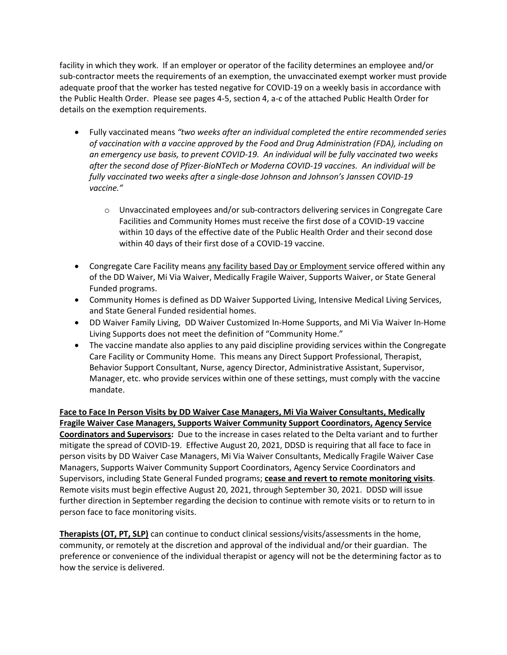facility in which they work. If an employer or operator of the facility determines an employee and/or sub-contractor meets the requirements of an exemption, the unvaccinated exempt worker must provide adequate proof that the worker has tested negative for COVID-19 on a weekly basis in accordance with the Public Health Order. Please see pages 4-5, section 4, a-c of the attached Public Health Order for details on the exemption requirements.

- Fully vaccinated means *"two weeks after an individual completed the entire recommended series of vaccination with a vaccine approved by the Food and Drug Administration (FDA), including on an emergency use basis, to prevent COVID-19. An individual will be fully vaccinated two weeks after the second dose of Pfizer-BioNTech or Moderna COVID-19 vaccines. An individual will be fully vaccinated two weeks after a single-dose Johnson and Johnson's Janssen COVID-19 vaccine."*
	- o Unvaccinated employees and/or sub-contractors delivering services in Congregate Care Facilities and Community Homes must receive the first dose of a COVID-19 vaccine within 10 days of the effective date of the Public Health Order and their second dose within 40 days of their first dose of a COVID-19 vaccine.
- Congregate Care Facility means any facility based Day or Employment service offered within any of the DD Waiver, Mi Via Waiver, Medically Fragile Waiver, Supports Waiver, or State General Funded programs.
- Community Homes is defined as DD Waiver Supported Living, Intensive Medical Living Services, and State General Funded residential homes.
- DD Waiver Family Living, DD Waiver Customized In-Home Supports, and Mi Via Waiver In-Home Living Supports does not meet the definition of "Community Home."
- The vaccine mandate also applies to any paid discipline providing services within the Congregate Care Facility or Community Home. This means any Direct Support Professional, Therapist, Behavior Support Consultant, Nurse, agency Director, Administrative Assistant, Supervisor, Manager, etc. who provide services within one of these settings, must comply with the vaccine mandate.

**Face to Face In Person Visits by DD Waiver Case Managers, Mi Via Waiver Consultants, Medically Fragile Waiver Case Managers, Supports Waiver Community Support Coordinators, Agency Service Coordinators and Supervisors:** Due to the increase in cases related to the Delta variant and to further mitigate the spread of COVID-19. Effective August 20, 2021, DDSD is requiring that all face to face in person visits by DD Waiver Case Managers, Mi Via Waiver Consultants, Medically Fragile Waiver Case Managers, Supports Waiver Community Support Coordinators, Agency Service Coordinators and Supervisors, including State General Funded programs; **cease and revert to remote monitoring visits**. Remote visits must begin effective August 20, 2021, through September 30, 2021. DDSD will issue further direction in September regarding the decision to continue with remote visits or to return to in person face to face monitoring visits.

**Therapists (OT, PT, SLP)** can continue to conduct clinical sessions/visits/assessments in the home, community, or remotely at the discretion and approval of the individual and/or their guardian. The preference or convenience of the individual therapist or agency will not be the determining factor as to how the service is delivered.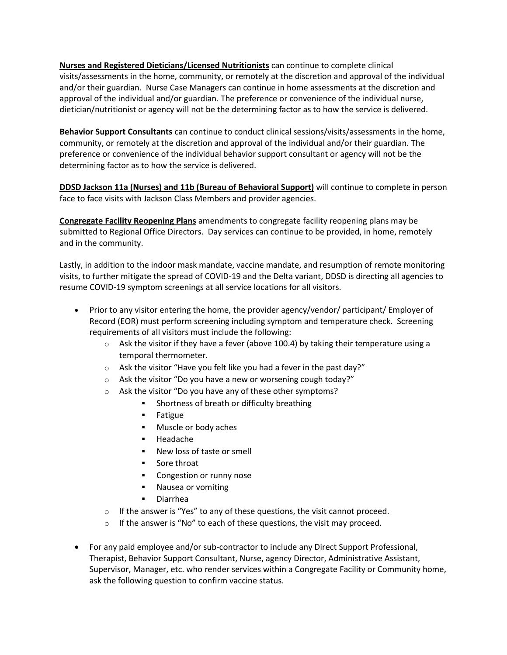**Nurses and Registered Dieticians/Licensed Nutritionists** can continue to complete clinical visits/assessments in the home, community, or remotely at the discretion and approval of the individual and/or their guardian. Nurse Case Managers can continue in home assessments at the discretion and approval of the individual and/or guardian. The preference or convenience of the individual nurse, dietician/nutritionist or agency will not be the determining factor as to how the service is delivered.

**Behavior Support Consultants** can continue to conduct clinical sessions/visits/assessments in the home, community, or remotely at the discretion and approval of the individual and/or their guardian. The preference or convenience of the individual behavior support consultant or agency will not be the determining factor as to how the service is delivered.

**DDSD Jackson 11a (Nurses) and 11b (Bureau of Behavioral Support)** will continue to complete in person face to face visits with Jackson Class Members and provider agencies.

**Congregate Facility Reopening Plans** amendments to congregate facility reopening plans may be submitted to Regional Office Directors. Day services can continue to be provided, in home, remotely and in the community.

Lastly, in addition to the indoor mask mandate, vaccine mandate, and resumption of remote monitoring visits, to further mitigate the spread of COVID-19 and the Delta variant, DDSD is directing all agencies to resume COVID-19 symptom screenings at all service locations for all visitors.

- Prior to any visitor entering the home, the provider agency/vendor/ participant/ Employer of Record (EOR) must perform screening including symptom and temperature check. Screening requirements of all visitors must include the following:
	- $\circ$  Ask the visitor if they have a fever (above 100.4) by taking their temperature using a temporal thermometer.
	- $\circ$  Ask the visitor "Have you felt like you had a fever in the past day?"
	- o Ask the visitor "Do you have a new or worsening cough today?"
	- o Ask the visitor "Do you have any of these other symptoms?
		- Shortness of breath or difficulty breathing
		- Fatigue
		- Muscle or body aches
		- Headache
		- New loss of taste or smell
		- Sore throat
		- Congestion or runny nose
		- Nausea or vomiting
		- Diarrhea
	- $\circ$  If the answer is "Yes" to any of these questions, the visit cannot proceed.
	- $\circ$  If the answer is "No" to each of these questions, the visit may proceed.
- For any paid employee and/or sub-contractor to include any Direct Support Professional, Therapist, Behavior Support Consultant, Nurse, agency Director, Administrative Assistant, Supervisor, Manager, etc. who render services within a Congregate Facility or Community home, ask the following question to confirm vaccine status.